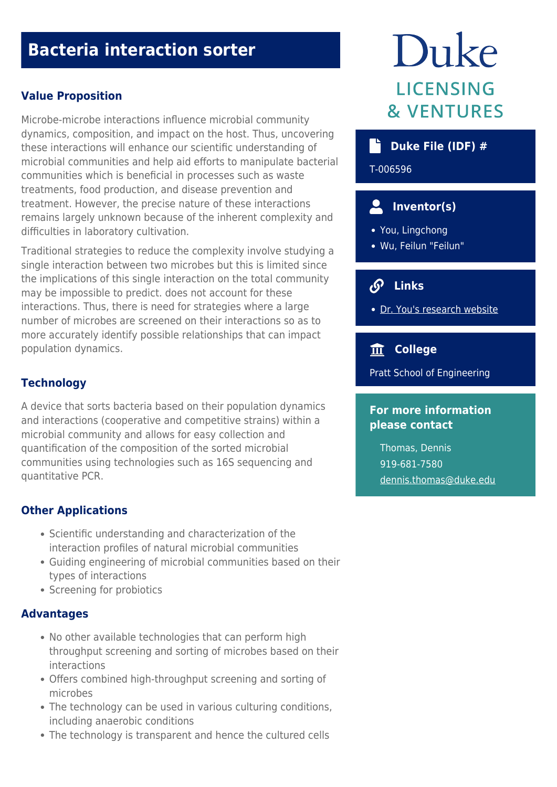# **Bacteria interaction sorter**

#### **Value Proposition**

Microbe-microbe interactions influence microbial community dynamics, composition, and impact on the host. Thus, uncovering these interactions will enhance our scientific understanding of microbial communities and help aid efforts to manipulate bacterial communities which is beneficial in processes such as waste treatments, food production, and disease prevention and treatment. However, the precise nature of these interactions remains largely unknown because of the inherent complexity and difficulties in laboratory cultivation.

Traditional strategies to reduce the complexity involve studying a single interaction between two microbes but this is limited since the implications of this single interaction on the total community may be impossible to predict. does not account for these interactions. Thus, there is need for strategies where a large number of microbes are screened on their interactions so as to more accurately identify possible relationships that can impact population dynamics.

#### **Technology**

A device that sorts bacteria based on their population dynamics and interactions (cooperative and competitive strains) within a microbial community and allows for easy collection and quantification of the composition of the sorted microbial communities using technologies such as 16S sequencing and quantitative PCR.

#### **Other Applications**

- Scientific understanding and characterization of the interaction profiles of natural microbial communities
- Guiding engineering of microbial communities based on their types of interactions
- Screening for probiotics

#### **Advantages**

- No other available technologies that can perform high throughput screening and sorting of microbes based on their interactions
- Offers combined high-throughput screening and sorting of microbes
- The technology can be used in various culturing conditions, including anaerobic conditions
- The technology is transparent and hence the cultured cells

# Duke **LICENSING & VENTURES**

#### **Duke File (IDF) #**

T-006596

### **Inventor(s)**

- You, Lingchong
- Wu, Feilun "Feilun"

## **Links**

[Dr. You's research website](https://genome.duke.edu/labs/YouLab/)

#### **College**

Pratt School of Engineering

#### **For more information please contact**

Thomas, Dennis 919-681-7580 [dennis.thomas@duke.edu](mailto:dennis.thomas@duke.edu)